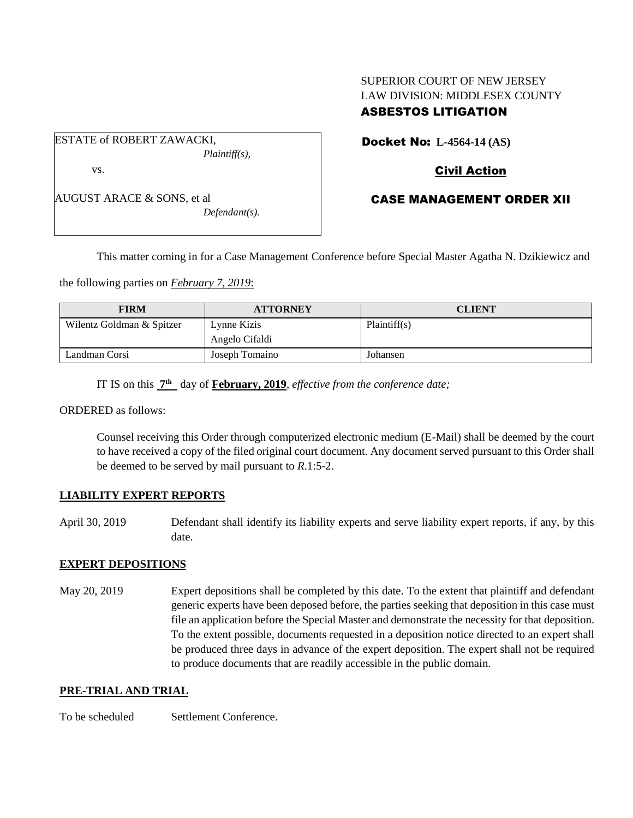# SUPERIOR COURT OF NEW JERSEY LAW DIVISION: MIDDLESEX COUNTY ASBESTOS LITIGATION

ESTATE of ROBERT ZAWACKI, *Plaintiff(s),* vs.

AUGUST ARACE & SONS, et al

*Defendant(s).*

Docket No: **L-4564-14 (AS)** 

## Civil Action

## CASE MANAGEMENT ORDER XII

This matter coming in for a Case Management Conference before Special Master Agatha N. Dzikiewicz and

the following parties on *February 7, 2019*:

| <b>FIRM</b>               | <b>ATTORNEY</b> | <b>CLIENT</b> |
|---------------------------|-----------------|---------------|
| Wilentz Goldman & Spitzer | Lynne Kizis     | Plaintiff(s)  |
|                           | Angelo Cifaldi  |               |
| Landman Corsi             | Joseph Tomaino  | Johansen      |

IT IS on this **7 th** day of **February, 2019**, *effective from the conference date;*

ORDERED as follows:

Counsel receiving this Order through computerized electronic medium (E-Mail) shall be deemed by the court to have received a copy of the filed original court document. Any document served pursuant to this Order shall be deemed to be served by mail pursuant to *R*.1:5-2.

### **LIABILITY EXPERT REPORTS**

April 30, 2019 Defendant shall identify its liability experts and serve liability expert reports, if any, by this date.

### **EXPERT DEPOSITIONS**

May 20, 2019 Expert depositions shall be completed by this date. To the extent that plaintiff and defendant generic experts have been deposed before, the parties seeking that deposition in this case must file an application before the Special Master and demonstrate the necessity for that deposition. To the extent possible, documents requested in a deposition notice directed to an expert shall be produced three days in advance of the expert deposition. The expert shall not be required to produce documents that are readily accessible in the public domain.

### **PRE-TRIAL AND TRIAL**

To be scheduled Settlement Conference.